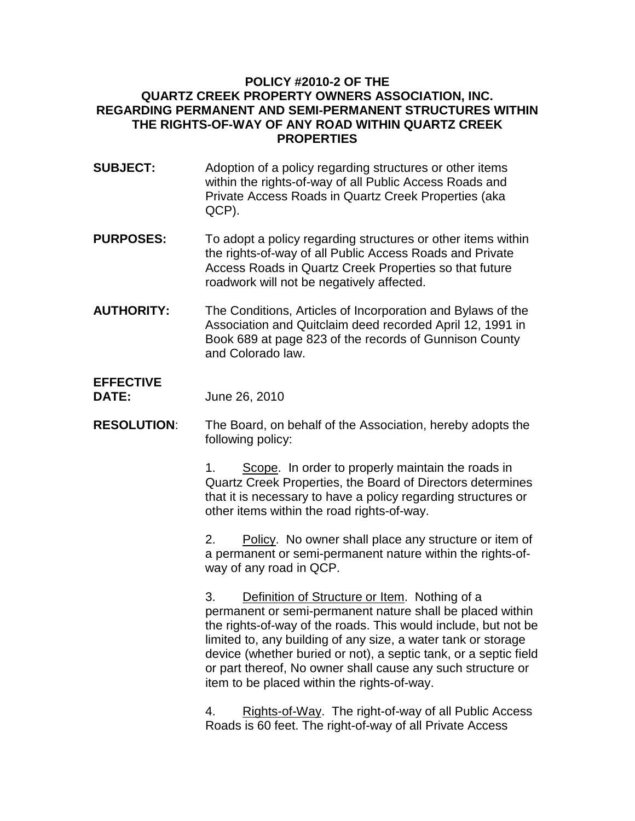## **POLICY #2010-2 OF THE QUARTZ CREEK PROPERTY OWNERS ASSOCIATION, INC. REGARDING PERMANENT AND SEMI-PERMANENT STRUCTURES WITHIN THE RIGHTS-OF-WAY OF ANY ROAD WITHIN QUARTZ CREEK PROPERTIES**

- **SUBJECT:** Adoption of a policy regarding structures or other items within the rights-of-way of all Public Access Roads and Private Access Roads in Quartz Creek Properties (aka QCP).
- **PURPOSES:** To adopt a policy regarding structures or other items within the rights-of-way of all Public Access Roads and Private Access Roads in Quartz Creek Properties so that future roadwork will not be negatively affected.
- **AUTHORITY:** The Conditions, Articles of Incorporation and Bylaws of the Association and Quitclaim deed recorded April 12, 1991 in Book 689 at page 823 of the records of Gunnison County and Colorado law.

## **EFFECTIVE**

**DATE:** June 26, 2010

**RESOLUTION**: The Board, on behalf of the Association, hereby adopts the following policy:

> 1. Scope. In order to properly maintain the roads in Quartz Creek Properties, the Board of Directors determines that it is necessary to have a policy regarding structures or other items within the road rights-of-way.

> 2. Policy. No owner shall place any structure or item of a permanent or semi-permanent nature within the rights-ofway of any road in QCP.

3. Definition of Structure or Item. Nothing of a permanent or semi-permanent nature shall be placed within the rights-of-way of the roads. This would include, but not be limited to, any building of any size, a water tank or storage device (whether buried or not), a septic tank, or a septic field or part thereof, No owner shall cause any such structure or item to be placed within the rights-of-way.

4. Rights-of-Way. The right-of-way of all Public Access Roads is 60 feet. The right-of-way of all Private Access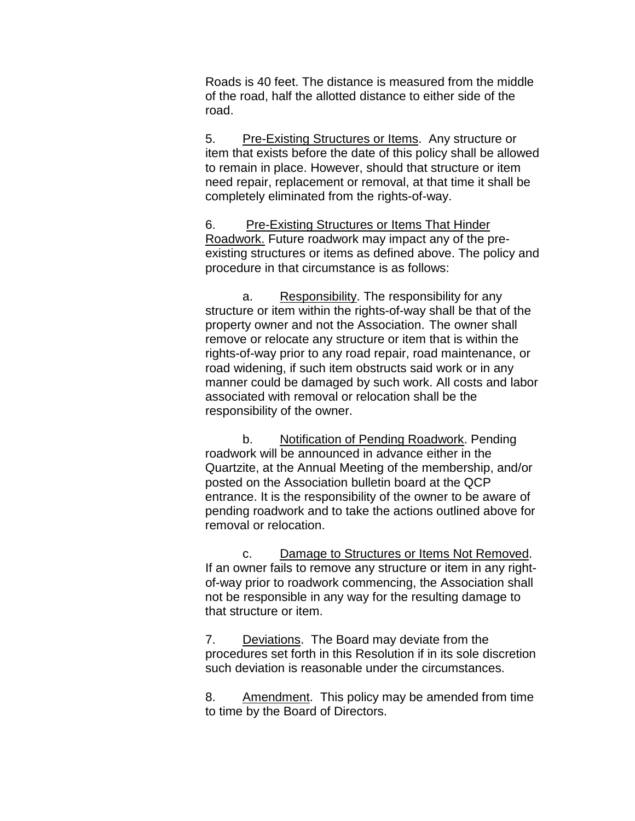Roads is 40 feet. The distance is measured from the middle of the road, half the allotted distance to either side of the road.

5. Pre-Existing Structures or Items. Any structure or item that exists before the date of this policy shall be allowed to remain in place. However, should that structure or item need repair, replacement or removal, at that time it shall be completely eliminated from the rights-of-way.

6. Pre-Existing Structures or Items That Hinder Roadwork. Future roadwork may impact any of the preexisting structures or items as defined above. The policy and procedure in that circumstance is as follows:

a. Responsibility. The responsibility for any structure or item within the rights-of-way shall be that of the property owner and not the Association. The owner shall remove or relocate any structure or item that is within the rights-of-way prior to any road repair, road maintenance, or road widening, if such item obstructs said work or in any manner could be damaged by such work. All costs and labor associated with removal or relocation shall be the responsibility of the owner.

b. Notification of Pending Roadwork. Pending roadwork will be announced in advance either in the Quartzite, at the Annual Meeting of the membership, and/or posted on the Association bulletin board at the QCP entrance. It is the responsibility of the owner to be aware of pending roadwork and to take the actions outlined above for removal or relocation.

c. Damage to Structures or Items Not Removed. If an owner fails to remove any structure or item in any rightof-way prior to roadwork commencing, the Association shall not be responsible in any way for the resulting damage to that structure or item.

7. Deviations. The Board may deviate from the procedures set forth in this Resolution if in its sole discretion such deviation is reasonable under the circumstances.

8. Amendment. This policy may be amended from time to time by the Board of Directors.